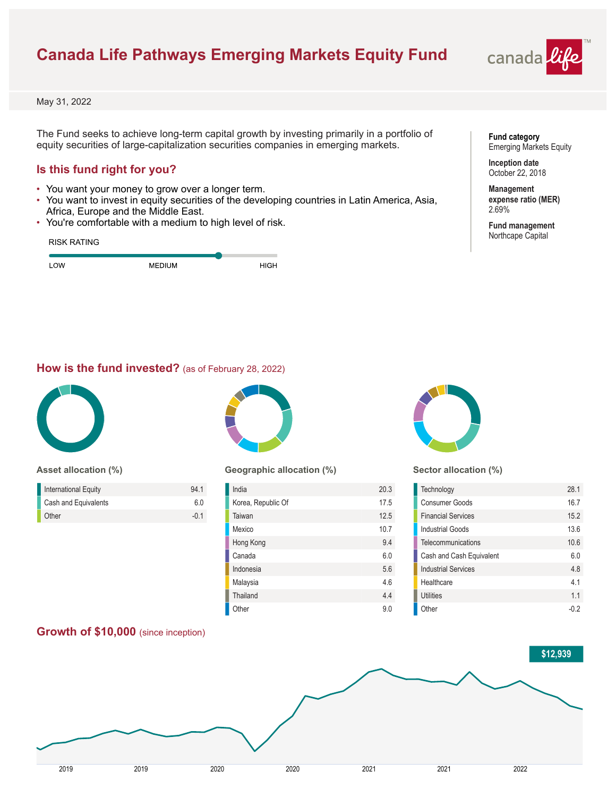# **Canada Life Pathways Emerging Markets Equity Fund**



May 31, 2022

The Fund seeks to achieve long-term capital growth by investing primarily in a portfolio of equity securities of large-capitalization securities companies in emerging markets.

### **Is this fund right for you?**

- You want your money to grow over a longer term.
- You want to invest in equity securities of the developing countries in Latin America, Asia, Africa, Europe and the Middle East.
- You're comfortable with a medium to high level of risk.

| <b>RISK RATING</b> |               |             |
|--------------------|---------------|-------------|
| LOW                | <b>MEDIUM</b> | <b>HIGH</b> |

### **Fund category** Emerging Markets Equity

**Inception date** October 22, 2018

**Management expense ratio (MER)** 2.69%

**Fund management** Northcape Capital

### **How is the fund invested?** (as of February 28, 2022)



#### **Asset allocation (%)**

| International Equity | 941  |
|----------------------|------|
| Cash and Equivalents | 60   |
| Other                | -0.1 |



### **Geographic allocation (%)**

| India              | 20.3 |
|--------------------|------|
| Korea, Republic Of | 17.5 |
| Taiwan             | 12.5 |
| Mexico             | 10.7 |
| Hong Kong          | 9.4  |
| Canada             | 6.0  |
| Indonesia          | 5.6  |
| Malaysia           | 4.6  |
| Thailand           | 4.4  |
| Other              | 9.0  |



### **Sector allocation (%)**

| Technology                 | 28.1 |
|----------------------------|------|
| Consumer Goods             | 16.7 |
| <b>Financial Services</b>  | 15.2 |
| Industrial Goods           | 13.6 |
| Telecommunications         | 10.6 |
| Cash and Cash Equivalent   | 60   |
| <b>Industrial Services</b> | 48   |
| Healthcare                 | 41   |
| Utilities                  | 11   |
| Other                      |      |

# **Growth of \$10,000** (since inception)